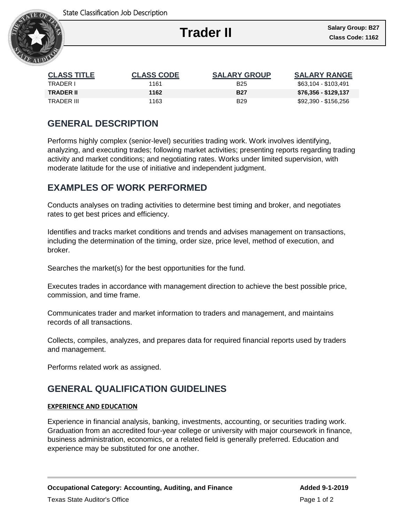

Ι

| <b>CLASS TITLE</b> | <b>CLASS CODE</b> | <b>SALARY GROUP</b> | <b>SALARY RANGE</b>  |
|--------------------|-------------------|---------------------|----------------------|
| TRADER I           | 1161              | <b>B25</b>          | \$63,104 - \$103,491 |
| <b>TRADER II</b>   | 1162              | <b>B27</b>          | \$76,356 - \$129,137 |
| TRADER III         | 1163              | <b>B29</b>          | \$92,390 - \$156,256 |

# **GENERAL DESCRIPTION**

Performs highly complex (senior-level) securities trading work. Work involves identifying, analyzing, and executing trades; following market activities; presenting reports regarding trading activity and market conditions; and negotiating rates. Works under limited supervision, with moderate latitude for the use of initiative and independent judgment.

# **EXAMPLES OF WORK PERFORMED**

Conducts analyses on trading activities to determine best timing and broker, and negotiates rates to get best prices and efficiency.

Identifies and tracks market conditions and trends and advises management on transactions, including the determination of the timing, order size, price level, method of execution, and broker.

Searches the market(s) for the best opportunities for the fund.

Executes trades in accordance with management direction to achieve the best possible price, commission, and time frame.

Communicates trader and market information to traders and management, and maintains records of all transactions.

Collects, compiles, analyzes, and prepares data for required financial reports used by traders and management.

Performs related work as assigned.

# **GENERAL QUALIFICATION GUIDELINES**

### **EXPERIENCE AND EDUCATION**

Experience in financial analysis, banking, investments, accounting, or securities trading work. Graduation from an accredited four-year college or university with major coursework in finance, business administration, economics, or a related field is generally preferred. Education and experience may be substituted for one another.